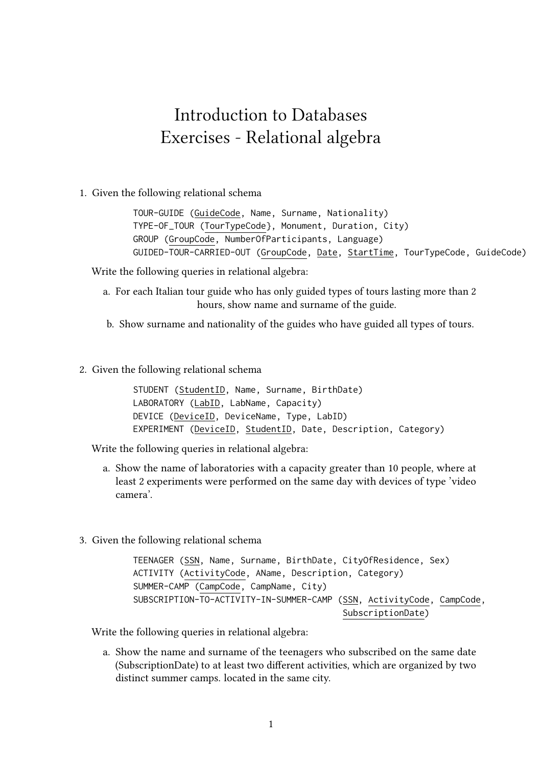## Introduction to Databases Exercises - Relational algebra

1. Given the following relational schema

TOUR-GUIDE (GuideCode, Name, Surname, Nationality) TYPE-OF\_TOUR (TourTypeCode}, Monument, Duration, City) GROUP (GroupCode, NumberOfParticipants, Language) GUIDED-TOUR-CARRIED-OUT (GroupCode, Date, StartTime, TourTypeCode, GuideCode)

Write the following queries in relational algebra:

- a. For each Italian tour guide who has only guided types of tours lasting more than 2 hours, show name and surname of the guide.
- b. Show surname and nationality of the guides who have guided all types of tours.
- 2. Given the following relational schema

STUDENT (StudentID, Name, Surname, BirthDate) LABORATORY (LabID, LabName, Capacity) DEVICE (DeviceID, DeviceName, Type, LabID) EXPERIMENT (DeviceID, StudentID, Date, Description, Category)

Write the following queries in relational algebra:

- a. Show the name of laboratories with a capacity greater than 10 people, where at least 2 experiments were performed on the same day with devices of type 'video camera'.
- 3. Given the following relational schema

TEENAGER (SSN, Name, Surname, BirthDate, CityOfResidence, Sex) ACTIVITY (ActivityCode, AName, Description, Category) SUMMER-CAMP (CampCode, CampName, City) SUBSCRIPTION-TO-ACTIVITY-IN-SUMMER-CAMP (SSN, ActivityCode, CampCode, SubscriptionDate)

Write the following queries in relational algebra:

a. Show the name and surname of the teenagers who subscribed on the same date (SubscriptionDate) to at least two different activities, which are organized by two distinct summer camps. located in the same city.